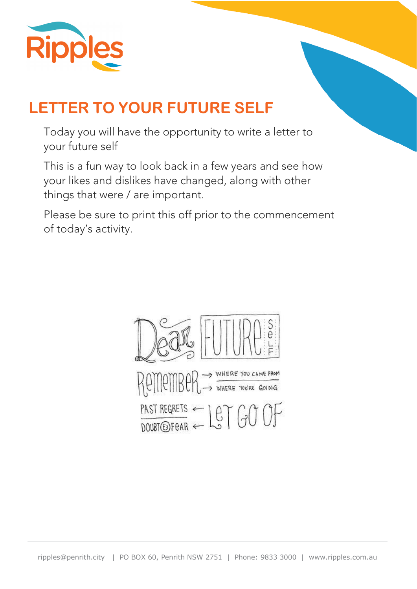

## **LETTER TO YOUR FUTURE SELF**

Today you will have the opportunity to write a letter to your future self

This is a fun way to look back in a few years and see how your likes and dislikes have changed, along with other things that were / are important.

Please be sure to print this off prior to the commencement of today's activity.